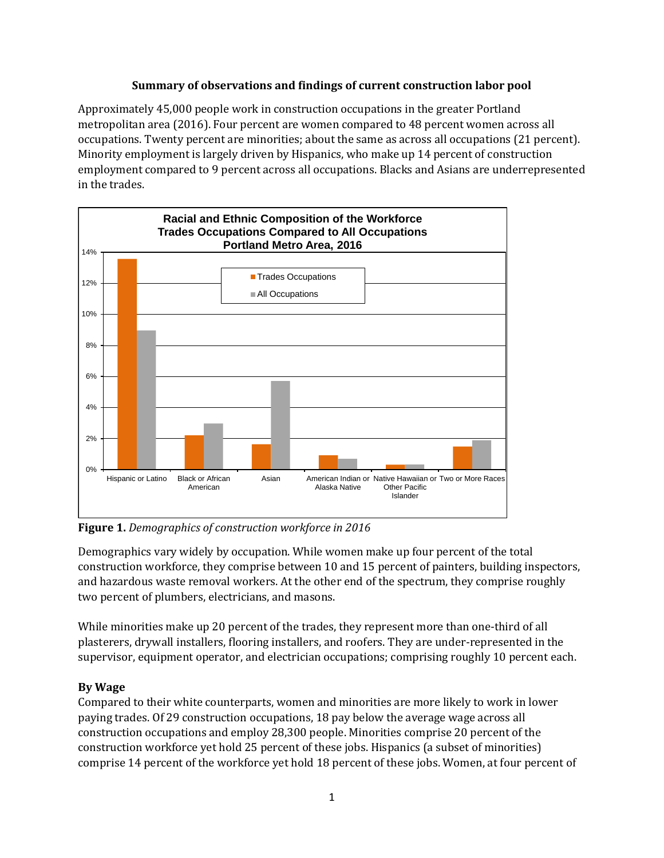#### **Summary of observations and findings of current construction labor pool**

Approximately 45,000 people work in construction occupations in the greater Portland metropolitan area (2016). Four percent are women compared to 48 percent women across all occupations. Twenty percent are minorities; about the same as across all occupations (21 percent). Minority employment is largely driven by Hispanics, who make up 14 percent of construction employment compared to 9 percent across all occupations. Blacks and Asians are underrepresented in the trades.



**Figure 1.** *Demographics of construction workforce in 2016*

Demographics vary widely by occupation. While women make up four percent of the total construction workforce, they comprise between 10 and 15 percent of painters, building inspectors, and hazardous waste removal workers. At the other end of the spectrum, they comprise roughly two percent of plumbers, electricians, and masons.

While minorities make up 20 percent of the trades, they represent more than one-third of all plasterers, drywall installers, flooring installers, and roofers. They are under-represented in the supervisor, equipment operator, and electrician occupations; comprising roughly 10 percent each.

## **By Wage**

Compared to their white counterparts, women and minorities are more likely to work in lower paying trades. Of 29 construction occupations, 18 pay below the average wage across all construction occupations and employ 28,300 people. Minorities comprise 20 percent of the construction workforce yet hold 25 percent of these jobs. Hispanics (a subset of minorities) comprise 14 percent of the workforce yet hold 18 percent of these jobs. Women, at four percent of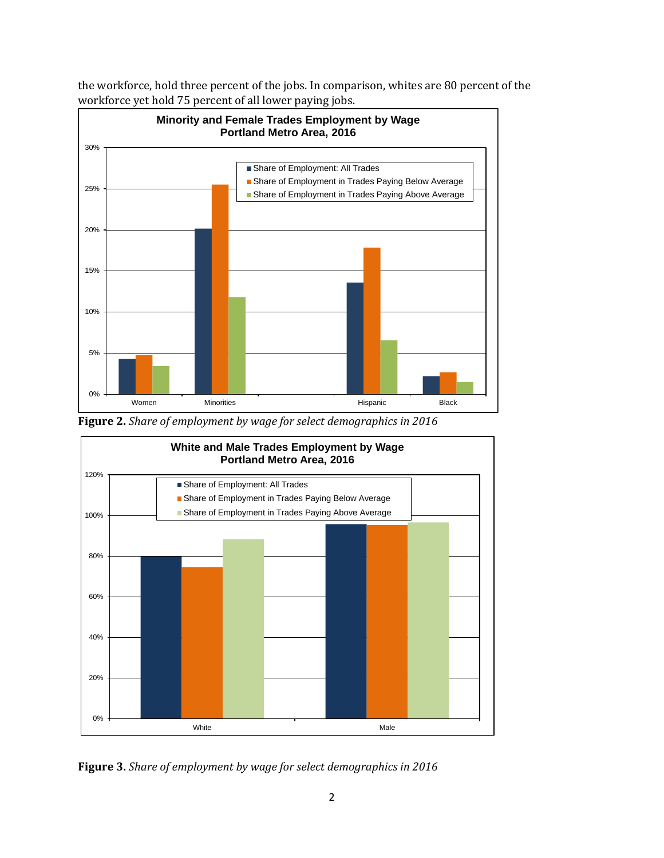the workforce, hold three percent of the jobs. In comparison, whites are 80 percent of the workforce yet hold 75 percent of all lower paying jobs.



**Figure 2.** *Share of employment by wage for select demographics in 2016*



**Figure 3.** *Share of employment by wage for select demographics in 2016*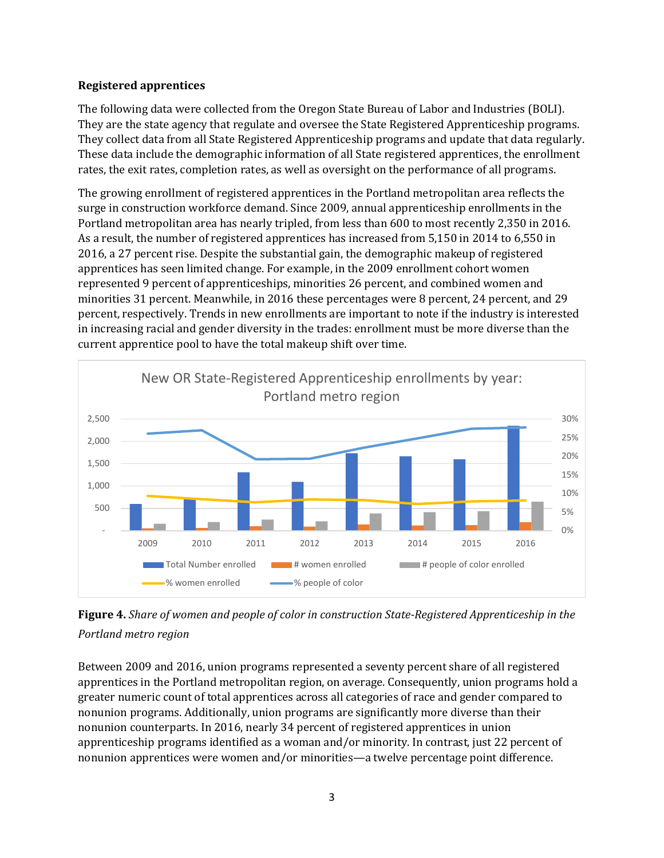#### **Registered apprentices**

The following data were collected from the Oregon State Bureau of Labor and Industries (BOLI). They are the state agency that regulate and oversee the State Registered Apprenticeship programs. They collect data from all State Registered Apprenticeship programs and update that data regularly. These data include the demographic information of all State registered apprentices, the enrollment rates, the exit rates, completion rates, as well as oversight on the performance of all programs.

The growing enrollment of registered apprentices in the Portland metropolitan area reflects the surge in construction workforce demand. Since 2009, annual apprenticeship enrollments in the Portland metropolitan area has nearly tripled, from less than 600 to most recently 2,350 in 2016. As a result, the number of registered apprentices has increased from 5,150 in 2014 to 6,550 in 2016, a 27 percent rise. Despite the substantial gain, the demographic makeup of registered apprentices has seen limited change. For example, in the 2009 enrollment cohort women represented 9 percent of apprenticeships, minorities 26 percent, and combined women and minorities 31 percent. Meanwhile, in 2016 these percentages were 8 percent, 24 percent, and 29 percent, respectively. Trends in new enrollments are important to note if the industry is interested in increasing racial and gender diversity in the trades: enrollment must be more diverse than the current apprentice pool to have the total makeup shift over time.



**Figure 4.** *Share of women and people of color in construction State-Registered Apprenticeship in the Portland metro region*

Between 2009 and 2016, union programs represented a seventy percent share of all registered apprentices in the Portland metropolitan region, on average. Consequently, union programs hold a greater numeric count of total apprentices across all categories of race and gender compared to nonunion programs. Additionally, union programs are significantly more diverse than their nonunion counterparts. In 2016, nearly 34 percent of registered apprentices in union apprenticeship programs identified as a woman and/or minority. In contrast, just 22 percent of nonunion apprentices were women and/or minorities—a twelve percentage point difference.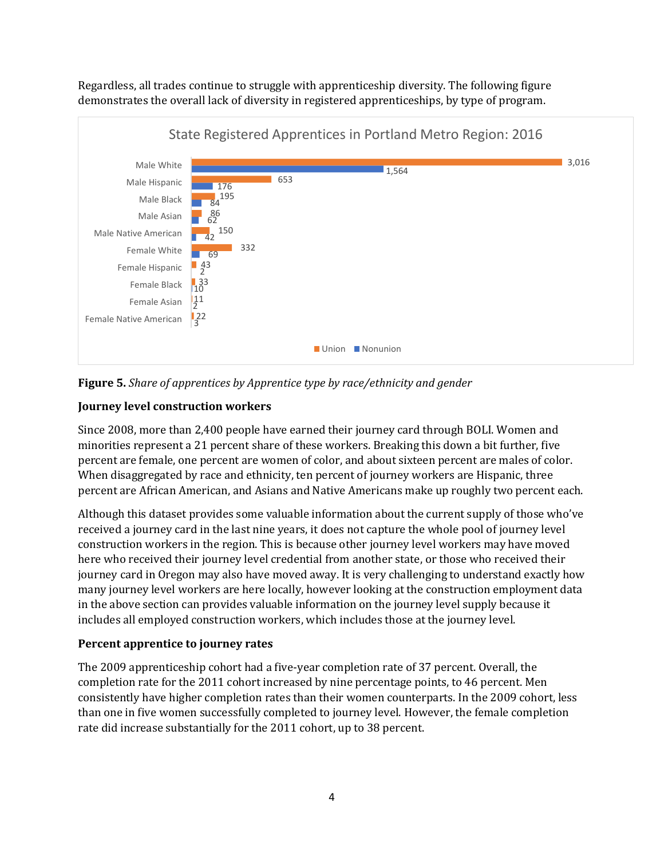Regardless, all trades continue to struggle with apprenticeship diversity. The following figure demonstrates the overall lack of diversity in registered apprenticeships, by type of program.



**Figure 5.** *Share of apprentices by Apprentice type by race/ethnicity and gender*

# **Journey level construction workers**

Since 2008, more than 2,400 people have earned their journey card through BOLI. Women and minorities represent a 21 percent share of these workers. Breaking this down a bit further, five percent are female, one percent are women of color, and about sixteen percent are males of color. When disaggregated by race and ethnicity, ten percent of journey workers are Hispanic, three percent are African American, and Asians and Native Americans make up roughly two percent each.

Although this dataset provides some valuable information about the current supply of those who've received a journey card in the last nine years, it does not capture the whole pool of journey level construction workers in the region. This is because other journey level workers may have moved here who received their journey level credential from another state, or those who received their journey card in Oregon may also have moved away. It is very challenging to understand exactly how many journey level workers are here locally, however looking at the construction employment data in the above section can provides valuable information on the journey level supply because it includes all employed construction workers, which includes those at the journey level.

## **Percent apprentice to journey rates**

The 2009 apprenticeship cohort had a five-year completion rate of 37 percent. Overall, the completion rate for the 2011 cohort increased by nine percentage points, to 46 percent. Men consistently have higher completion rates than their women counterparts. In the 2009 cohort, less than one in five women successfully completed to journey level. However, the female completion rate did increase substantially for the 2011 cohort, up to 38 percent.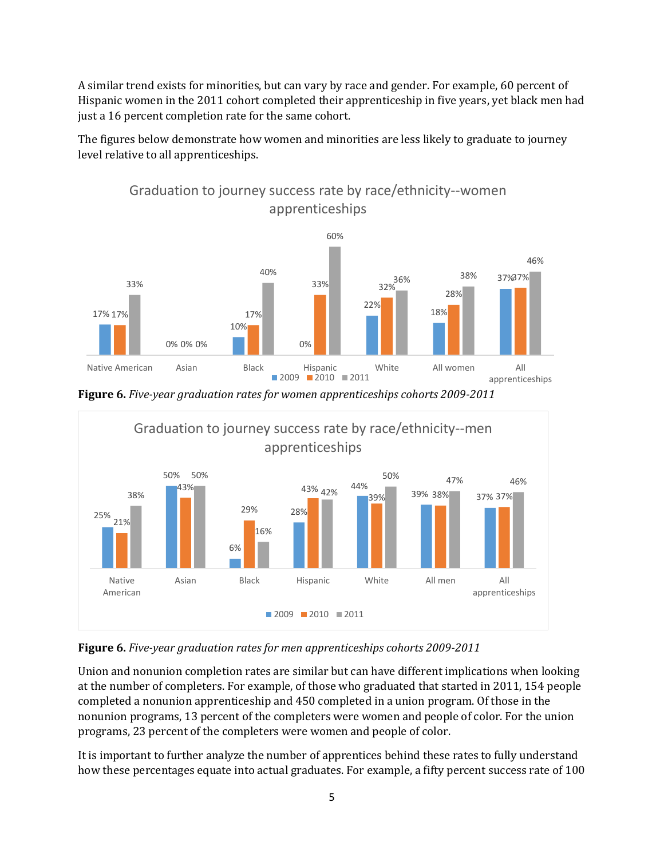A similar trend exists for minorities, but can vary by race and gender. For example, 60 percent of Hispanic women in the 2011 cohort completed their apprenticeship in five years, yet black men had just a 16 percent completion rate for the same cohort.

The figures below demonstrate how women and minorities are less likely to graduate to journey level relative to all apprenticeships.



**Figure 6.** *Five-year graduation rates for women apprenticeships cohorts 2009-2011*



**Figure 6.** *Five-year graduation rates for men apprenticeships cohorts 2009-2011*

Union and nonunion completion rates are similar but can have different implications when looking at the number of completers. For example, of those who graduated that started in 2011, 154 people completed a nonunion apprenticeship and 450 completed in a union program. Of those in the nonunion programs, 13 percent of the completers were women and people of color. For the union programs, 23 percent of the completers were women and people of color.

It is important to further analyze the number of apprentices behind these rates to fully understand how these percentages equate into actual graduates. For example, a fifty percent success rate of 100